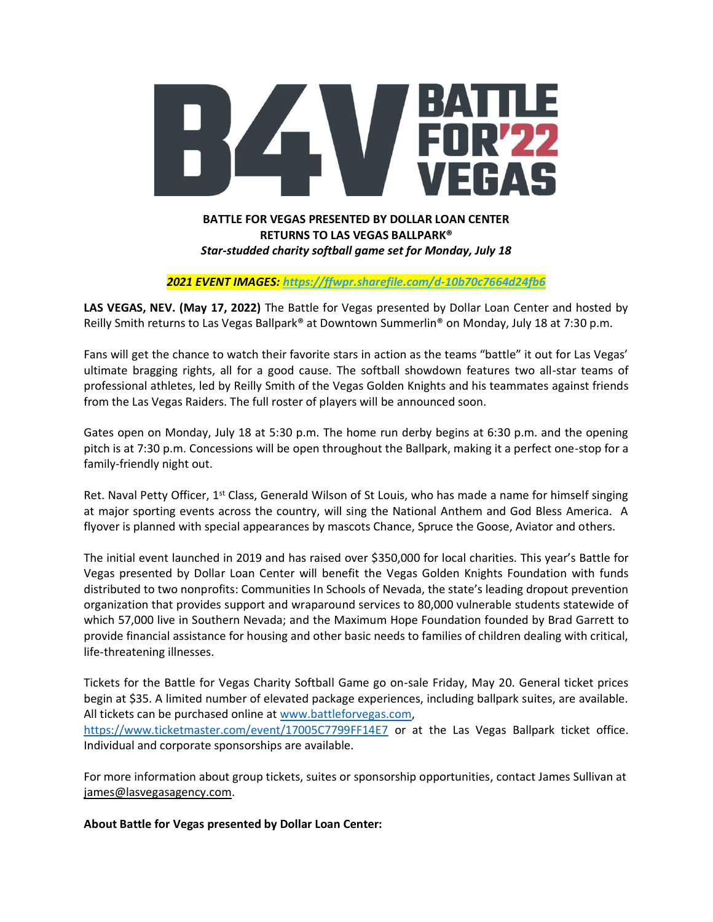

## **RETURNS TO LAS VEGAS BALLPARK®** *Star-studded charity softball game set for Monday, July 18*

*2021 EVENT IMAGES[: https://ffwpr.sharefile.com/d-10b70c7664d24fb6](https://us-east-2.protection.sophos.com/?d=sharefile.com&u=aHR0cHM6Ly9mZndwci5zaGFyZWZpbGUuY29tL2QtMTBiNzBjNzY2NGQyNGZiNg==&i=NjAwYzliYTA2MTJkMWQyZGQ1MmE1NDgw&t=dC8vRnpISENEa1FReGlZN2tTL1d1UmVHOVFBVW93amRKeHBRaW1pZDhLVT0=&h=67a738886e6c457297fe1e1f460fc01a)*

**LAS VEGAS, NEV. (May 17, 2022)** The Battle for Vegas presented by Dollar Loan Center and hosted by Reilly Smith returns to Las Vegas Ballpark® at Downtown Summerlin® on Monday, July 18 at 7:30 p.m.

Fans will get the chance to watch their favorite stars in action as the teams "battle" it out for Las Vegas' ultimate bragging rights, all for a good cause. The softball showdown features two all-star teams of professional athletes, led by Reilly Smith of the Vegas Golden Knights and his teammates against friends from the Las Vegas Raiders. The full roster of players will be announced soon.

Gates open on Monday, July 18 at 5:30 p.m. The home run derby begins at 6:30 p.m. and the opening pitch is at 7:30 p.m. Concessions will be open throughout the Ballpark, making it a perfect one-stop for a family-friendly night out.

Ret. Naval Petty Officer, 1<sup>st</sup> Class, Generald Wilson of St Louis, who has made a name for himself singing at major sporting events across the country, will sing the National Anthem and God Bless America. A flyover is planned with special appearances by mascots Chance, Spruce the Goose, Aviator and others.

The initial event launched in 2019 and has raised over \$350,000 for local charities. This year's Battle for Vegas presented by Dollar Loan Center will benefit the Vegas Golden Knights Foundation with funds distributed to two nonprofits: Communities In Schools of Nevada, the state's leading dropout prevention organization that provides support and wraparound services to 80,000 vulnerable students statewide of which 57,000 live in Southern Nevada; and the Maximum Hope Foundation founded by Brad Garrett to provide financial assistance for housing and other basic needs to families of children dealing with critical, life-threatening illnesses.

Tickets for the Battle for Vegas Charity Softball Game go on-sale Friday, May 20. General ticket prices begin at \$35. A limited number of elevated package experiences, including ballpark suites, are available. All tickets can be purchased online at [www.battleforvegas.com,](http://www.battleforvegas.com/) <https://www.ticketmaster.com/event/17005C7799FF14E7> or at the Las Vegas Ballpark ticket office. Individual and corporate sponsorships are available.

For more information about group tickets, suites or sponsorship opportunities, contact James Sullivan at [james@lasvegasagency.com.](mailto:james@lasvegasagency.com)

**About Battle for Vegas presented by Dollar Loan Center:**